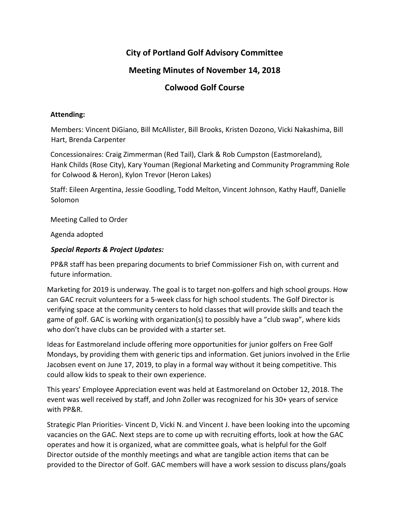# **City of Portland Golf Advisory Committee**

# **Meeting Minutes of November 14, 2018**

## **Colwood Golf Course**

#### **Attending:**

Members: Vincent DiGiano, Bill McAllister, Bill Brooks, Kristen Dozono, Vicki Nakashima, Bill Hart, Brenda Carpenter

Concessionaires: Craig Zimmerman (Red Tail), Clark & Rob Cumpston (Eastmoreland), Hank Childs (Rose City), Kary Youman (Regional Marketing and Community Programming Role for Colwood & Heron), Kylon Trevor (Heron Lakes)

Staff: Eileen Argentina, Jessie Goodling, Todd Melton, Vincent Johnson, Kathy Hauff, Danielle Solomon

Meeting Called to Order

Agenda adopted

### *Special Reports & Project Updates:*

PP&R staff has been preparing documents to brief Commissioner Fish on, with current and future information.

Marketing for 2019 is underway. The goal is to target non-golfers and high school groups. How can GAC recruit volunteers for a 5-week class for high school students. The Golf Director is verifying space at the community centers to hold classes that will provide skills and teach the game of golf. GAC is working with organization(s) to possibly have a "club swap", where kids who don't have clubs can be provided with a starter set.

Ideas for Eastmoreland include offering more opportunities for junior golfers on Free Golf Mondays, by providing them with generic tips and information. Get juniors involved in the Erlie Jacobsen event on June 17, 2019, to play in a formal way without it being competitive. This could allow kids to speak to their own experience.

This years' Employee Appreciation event was held at Eastmoreland on October 12, 2018. The event was well received by staff, and John Zoller was recognized for his 30+ years of service with PP&R.

Strategic Plan Priorities- Vincent D, Vicki N. and Vincent J. have been looking into the upcoming vacancies on the GAC. Next steps are to come up with recruiting efforts, look at how the GAC operates and how it is organized, what are committee goals, what is helpful for the Golf Director outside of the monthly meetings and what are tangible action items that can be provided to the Director of Golf. GAC members will have a work session to discuss plans/goals